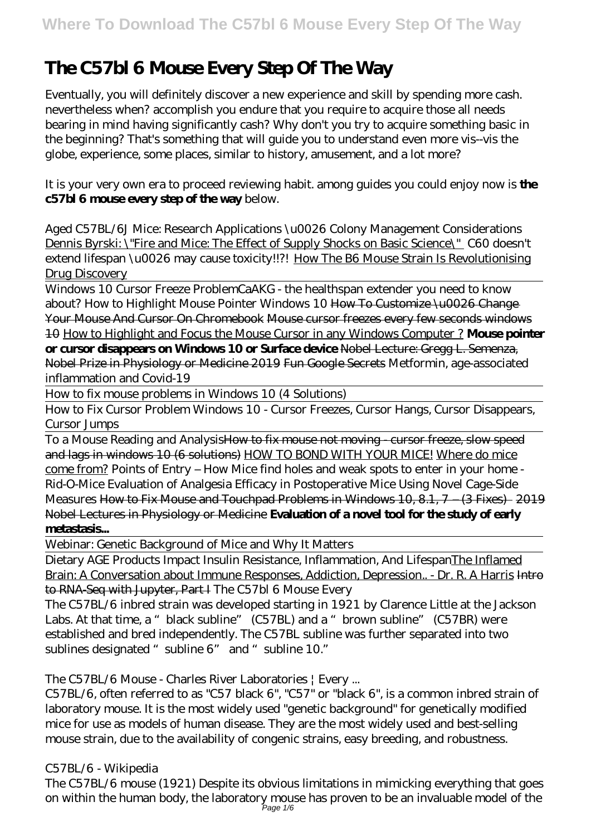# **The C57bl 6 Mouse Every Step Of The Way**

Eventually, you will definitely discover a new experience and skill by spending more cash. nevertheless when? accomplish you endure that you require to acquire those all needs bearing in mind having significantly cash? Why don't you try to acquire something basic in the beginning? That's something that will guide you to understand even more vis--vis the globe, experience, some places, similar to history, amusement, and a lot more?

It is your very own era to proceed reviewing habit. among guides you could enjoy now is **the c57bl 6 mouse every step of the way** below.

*Aged C57BL/6J Mice: Research Applications \u0026 Colony Management Considerations* Dennis Byrski: \"Fire and Mice: The Effect of Supply Shocks on Basic Science\" *C60 doesn't* extend lifespan\u0026 may cause toxicity!!?! How The B6 Mouse Strain Is Revolutionising Drug Discovery

Windows 10 Cursor Freeze Problem*CaAKG - the healthspan extender you need to know about? How to Highlight Mouse Pointer Windows 10* How To Customize \u0026 Change Your Mouse And Cursor On Chromebook Mouse cursor freezes every few seconds windows 10 How to Highlight and Focus the Mouse Cursor in any Windows Computer ? **Mouse pointer or cursor disappears on Windows 10 or Surface device** Nobel Lecture: Gregg L. Semenza, Nobel Prize in Physiology or Medicine 2019 Fun Google Secrets *Metformin, age-associated inflammation and Covid-19*

How to fix mouse problems in Windows 10 (4 Solutions)

How to Fix Cursor Problem Windows 10 - Cursor Freezes, Cursor Hangs, Cursor Disappears, Cursor Jumps

To a Mouse Reading and Analysis<del>How to fix mouse not moving - cursor freeze, slow speed</del> and lags in windows 10 (6 solutions) HOW TO BOND WITH YOUR MICE! Where do mice come from? Points of Entry – How Mice find holes and weak spots to enter in your home - Rid-O-Mice *Evaluation of Analgesia Efficacy in Postoperative Mice Using Novel Cage-Side Measures* How to Fix Mouse and Touchpad Problems in Windows 10, 8.1, 7 – (3 Fixes) 2019 Nobel Lectures in Physiology or Medicine **Evaluation of a novel tool for the study of early metastasis...**

Webinar: Genetic Background of Mice and Why It Matters

Dietary AGE Products Impact Insulin Resistance, Inflammation, And LifespanThe Inflamed Brain: A Conversation about Immune Responses, Addiction, Depression.. - Dr. R. A Harris Intro to RNA-Seq with Jupyter, Part I The C57bl 6 Mouse Every

The C57BL/6 inbred strain was developed starting in 1921 by Clarence Little at the Jackson Labs. At that time, a "black subline" (C57BL) and a "brown subline" (C57BR) were established and bred independently. The C57BL subline was further separated into two sublines designated "subline 6" and "subline 10."

The C57BL/6 Mouse - Charles River Laboratories | Every ...

C57BL/6, often referred to as "C57 black 6", "C57" or "black 6", is a common inbred strain of laboratory mouse. It is the most widely used "genetic background" for genetically modified mice for use as models of human disease. They are the most widely used and best-selling mouse strain, due to the availability of congenic strains, easy breeding, and robustness.

C57BL/6 - Wikipedia

The C57BL/6 mouse (1921) Despite its obvious limitations in mimicking everything that goes on within the human body, the laboratory mouse has proven to be an invaluable model of the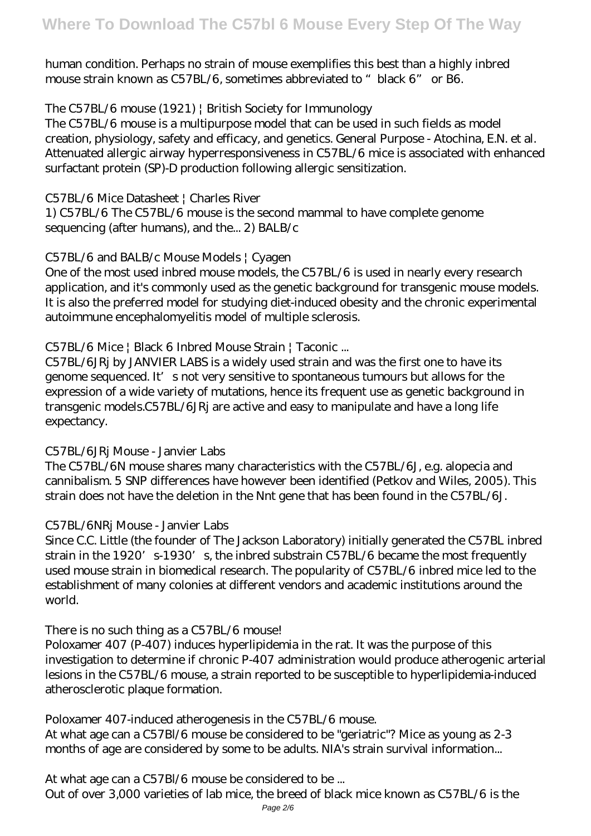human condition. Perhaps no strain of mouse exemplifies this best than a highly inbred mouse strain known as C57BL/6, sometimes abbreviated to "black 6" or B6.

The C57BL/6 mouse (1921) | British Society for Immunology

The C57BL/6 mouse is a multipurpose model that can be used in such fields as model creation, physiology, safety and efficacy, and genetics. General Purpose - Atochina, E.N. et al. Attenuated allergic airway hyperresponsiveness in C57BL/6 mice is associated with enhanced surfactant protein (SP)-D production following allergic sensitization.

C57BL/6 Mice Datasheet | Charles River

1) C57BL/6 The C57BL/6 mouse is the second mammal to have complete genome sequencing (after humans), and the... 2) BALB/c

#### C57BL/6 and BALB/c Mouse Models | Cyagen

One of the most used inbred mouse models, the C57BL/6 is used in nearly every research application, and it's commonly used as the genetic background for transgenic mouse models. It is also the preferred model for studying diet-induced obesity and the chronic experimental autoimmune encephalomyelitis model of multiple sclerosis.

C57BL/6 Mice | Black 6 Inbred Mouse Strain | Taconic ...

C57BL/6JRj by JANVIER LABS is a widely used strain and was the first one to have its genome sequenced. It's not very sensitive to spontaneous tumours but allows for the expression of a wide variety of mutations, hence its frequent use as genetic background in transgenic models.C57BL/6JRj are active and easy to manipulate and have a long life expectancy.

## C57BL/6JRj Mouse - Janvier Labs

The C57BL/6N mouse shares many characteristics with the C57BL/6J, e.g. alopecia and cannibalism. 5 SNP differences have however been identified (Petkov and Wiles, 2005). This strain does not have the deletion in the Nnt gene that has been found in the C57BL/6J.

## C57BL/6NRj Mouse - Janvier Labs

Since C.C. Little (the founder of The Jackson Laboratory) initially generated the C57BL inbred strain in the 1920's-1930's, the inbred substrain C57BL/6 became the most frequently used mouse strain in biomedical research. The popularity of C57BL/6 inbred mice led to the establishment of many colonies at different vendors and academic institutions around the world.

There is no such thing as a C57BL/6 mouse!

Poloxamer 407 (P-407) induces hyperlipidemia in the rat. It was the purpose of this investigation to determine if chronic P-407 administration would produce atherogenic arterial lesions in the C57BL/6 mouse, a strain reported to be susceptible to hyperlipidemia-induced atherosclerotic plaque formation.

Poloxamer 407-induced atherogenesis in the C57BL/6 mouse.

At what age can a C57Bl/6 mouse be considered to be "geriatric"? Mice as young as 2-3 months of age are considered by some to be adults. NIA's strain survival information...

At what age can a C57Bl/6 mouse be considered to be ... Out of over 3,000 varieties of lab mice, the breed of black mice known as C57BL/6 is the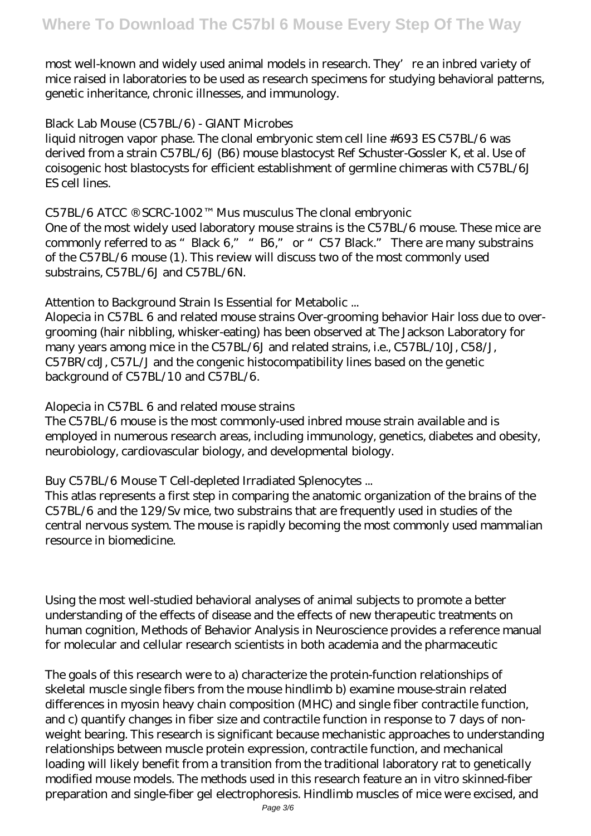most well-known and widely used animal models in research. They're an inbred variety of mice raised in laboratories to be used as research specimens for studying behavioral patterns, genetic inheritance, chronic illnesses, and immunology.

#### Black Lab Mouse (C57BL/6) - GIANT Microbes

liquid nitrogen vapor phase. The clonal embryonic stem cell line #693 ES C57BL/6 was derived from a strain C57BL/6J (B6) mouse blastocyst Ref Schuster-Gossler K, et al. Use of coisogenic host blastocysts for efficient establishment of germline chimeras with C57BL/6J ES cell lines.

C57BL/6 ATCC ® SCRC-1002™ Mus musculus The clonal embryonic

One of the most widely used laboratory mouse strains is the C57BL/6 mouse. These mice are commonly referred to as "Black 6," "B6," or "C57 Black." There are many substrains of the C57BL/6 mouse (1). This review will discuss two of the most commonly used substrains, C57BL/6J and C57BL/6N.

Attention to Background Strain Is Essential for Metabolic ...

Alopecia in C57BL 6 and related mouse strains Over-grooming behavior Hair loss due to overgrooming (hair nibbling, whisker-eating) has been observed at The Jackson Laboratory for many years among mice in the C57BL/6J and related strains, i.e., C57BL/10J, C58/J, C57BR/cdJ, C57L/J and the congenic histocompatibility lines based on the genetic background of C57BL/10 and C57BL/6.

Alopecia in C57BL 6 and related mouse strains

The C57BL/6 mouse is the most commonly-used inbred mouse strain available and is employed in numerous research areas, including immunology, genetics, diabetes and obesity, neurobiology, cardiovascular biology, and developmental biology.

Buy C57BL/6 Mouse T Cell-depleted Irradiated Splenocytes ...

This atlas represents a first step in comparing the anatomic organization of the brains of the C57BL/6 and the 129/Sv mice, two substrains that are frequently used in studies of the central nervous system. The mouse is rapidly becoming the most commonly used mammalian resource in biomedicine.

Using the most well-studied behavioral analyses of animal subjects to promote a better understanding of the effects of disease and the effects of new therapeutic treatments on human cognition, Methods of Behavior Analysis in Neuroscience provides a reference manual for molecular and cellular research scientists in both academia and the pharmaceutic

The goals of this research were to a) characterize the protein-function relationships of skeletal muscle single fibers from the mouse hindlimb b) examine mouse-strain related differences in myosin heavy chain composition (MHC) and single fiber contractile function, and c) quantify changes in fiber size and contractile function in response to 7 days of nonweight bearing. This research is significant because mechanistic approaches to understanding relationships between muscle protein expression, contractile function, and mechanical loading will likely benefit from a transition from the traditional laboratory rat to genetically modified mouse models. The methods used in this research feature an in vitro skinned-fiber preparation and single-fiber gel electrophoresis. Hindlimb muscles of mice were excised, and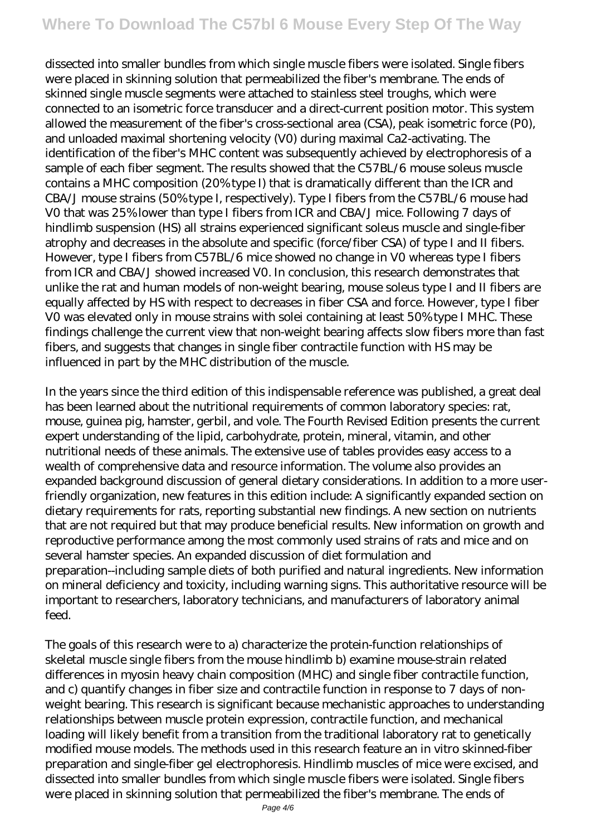# **Where To Download The C57bl 6 Mouse Every Step Of The Way**

dissected into smaller bundles from which single muscle fibers were isolated. Single fibers were placed in skinning solution that permeabilized the fiber's membrane. The ends of skinned single muscle segments were attached to stainless steel troughs, which were connected to an isometric force transducer and a direct-current position motor. This system allowed the measurement of the fiber's cross-sectional area (CSA), peak isometric force (P0), and unloaded maximal shortening velocity (V0) during maximal Ca2-activating. The identification of the fiber's MHC content was subsequently achieved by electrophoresis of a sample of each fiber segment. The results showed that the C57BL/6 mouse soleus muscle contains a MHC composition (20% type I) that is dramatically different than the ICR and CBA/J mouse strains (50% type I, respectively). Type I fibers from the C57BL/6 mouse had V0 that was 25% lower than type I fibers from ICR and CBA/J mice. Following 7 days of hindlimb suspension (HS) all strains experienced significant soleus muscle and single-fiber atrophy and decreases in the absolute and specific (force/fiber CSA) of type I and II fibers. However, type I fibers from C57BL/6 mice showed no change in V0 whereas type I fibers from ICR and CBA/J showed increased V0. In conclusion, this research demonstrates that unlike the rat and human models of non-weight bearing, mouse soleus type I and II fibers are equally affected by HS with respect to decreases in fiber CSA and force. However, type I fiber V0 was elevated only in mouse strains with solei containing at least 50% type I MHC. These findings challenge the current view that non-weight bearing affects slow fibers more than fast fibers, and suggests that changes in single fiber contractile function with HS may be influenced in part by the MHC distribution of the muscle.

In the years since the third edition of this indispensable reference was published, a great deal has been learned about the nutritional requirements of common laboratory species: rat, mouse, guinea pig, hamster, gerbil, and vole. The Fourth Revised Edition presents the current expert understanding of the lipid, carbohydrate, protein, mineral, vitamin, and other nutritional needs of these animals. The extensive use of tables provides easy access to a wealth of comprehensive data and resource information. The volume also provides an expanded background discussion of general dietary considerations. In addition to a more userfriendly organization, new features in this edition include: A significantly expanded section on dietary requirements for rats, reporting substantial new findings. A new section on nutrients that are not required but that may produce beneficial results. New information on growth and reproductive performance among the most commonly used strains of rats and mice and on several hamster species. An expanded discussion of diet formulation and preparation--including sample diets of both purified and natural ingredients. New information on mineral deficiency and toxicity, including warning signs. This authoritative resource will be important to researchers, laboratory technicians, and manufacturers of laboratory animal feed.

The goals of this research were to a) characterize the protein-function relationships of skeletal muscle single fibers from the mouse hindlimb b) examine mouse-strain related differences in myosin heavy chain composition (MHC) and single fiber contractile function, and c) quantify changes in fiber size and contractile function in response to 7 days of nonweight bearing. This research is significant because mechanistic approaches to understanding relationships between muscle protein expression, contractile function, and mechanical loading will likely benefit from a transition from the traditional laboratory rat to genetically modified mouse models. The methods used in this research feature an in vitro skinned-fiber preparation and single-fiber gel electrophoresis. Hindlimb muscles of mice were excised, and dissected into smaller bundles from which single muscle fibers were isolated. Single fibers were placed in skinning solution that permeabilized the fiber's membrane. The ends of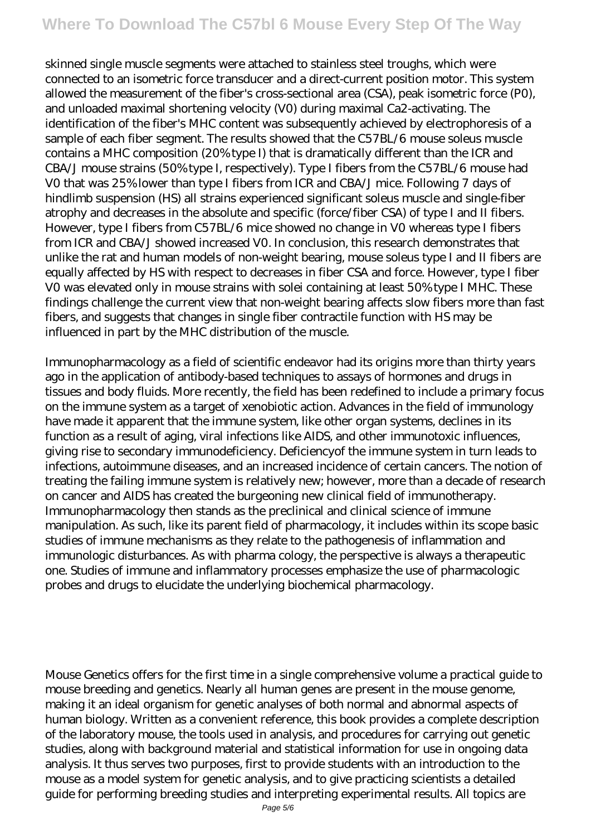# **Where To Download The C57bl 6 Mouse Every Step Of The Way**

skinned single muscle segments were attached to stainless steel troughs, which were connected to an isometric force transducer and a direct-current position motor. This system allowed the measurement of the fiber's cross-sectional area (CSA), peak isometric force (P0), and unloaded maximal shortening velocity (V0) during maximal Ca2-activating. The identification of the fiber's MHC content was subsequently achieved by electrophoresis of a sample of each fiber segment. The results showed that the C57BL/6 mouse soleus muscle contains a MHC composition (20% type I) that is dramatically different than the ICR and CBA/J mouse strains (50% type I, respectively). Type I fibers from the C57BL/6 mouse had V0 that was 25% lower than type I fibers from ICR and CBA/J mice. Following 7 days of hindlimb suspension (HS) all strains experienced significant soleus muscle and single-fiber atrophy and decreases in the absolute and specific (force/fiber CSA) of type I and II fibers. However, type I fibers from C57BL/6 mice showed no change in V0 whereas type I fibers from ICR and CBA/J showed increased V0. In conclusion, this research demonstrates that unlike the rat and human models of non-weight bearing, mouse soleus type I and II fibers are equally affected by HS with respect to decreases in fiber CSA and force. However, type I fiber V0 was elevated only in mouse strains with solei containing at least 50% type I MHC. These findings challenge the current view that non-weight bearing affects slow fibers more than fast fibers, and suggests that changes in single fiber contractile function with HS may be influenced in part by the MHC distribution of the muscle.

Immunopharmacology as a field of scientific endeavor had its origins more than thirty years ago in the application of antibody-based techniques to assays of hormones and drugs in tissues and body fluids. More recently, the field has been redefined to include a primary focus on the immune system as a target of xenobiotic action. Advances in the field of immunology have made it apparent that the immune system, like other organ systems, declines in its function as a result of aging, viral infections like AIDS, and other immunotoxic influences, giving rise to secondary immunodeficiency. Deficiencyof the immune system in turn leads to infections, autoimmune diseases, and an increased incidence of certain cancers. The notion of treating the failing immune system is relatively new; however, more than a decade of research on cancer and AIDS has created the burgeoning new clinical field of immunotherapy. Immunopharmacology then stands as the preclinical and clinical science of immune manipulation. As such, like its parent field of pharmacology, it includes within its scope basic studies of immune mechanisms as they relate to the pathogenesis of inflammation and immunologic disturbances. As with pharma cology, the perspective is always a therapeutic one. Studies of immune and inflammatory processes emphasize the use of pharmacologic probes and drugs to elucidate the underlying biochemical pharmacology.

Mouse Genetics offers for the first time in a single comprehensive volume a practical guide to mouse breeding and genetics. Nearly all human genes are present in the mouse genome, making it an ideal organism for genetic analyses of both normal and abnormal aspects of human biology. Written as a convenient reference, this book provides a complete description of the laboratory mouse, the tools used in analysis, and procedures for carrying out genetic studies, along with background material and statistical information for use in ongoing data analysis. It thus serves two purposes, first to provide students with an introduction to the mouse as a model system for genetic analysis, and to give practicing scientists a detailed guide for performing breeding studies and interpreting experimental results. All topics are